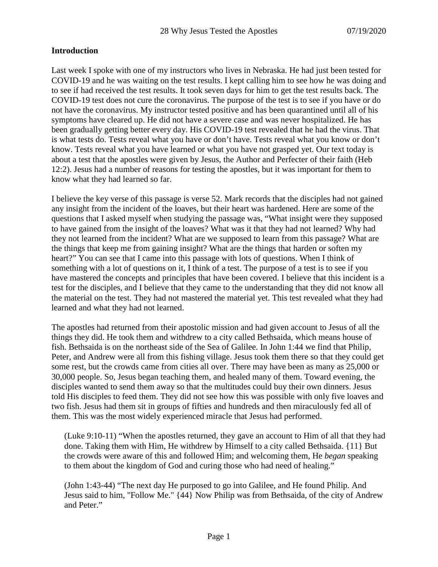### **Introduction**

Last week I spoke with one of my instructors who lives in Nebraska. He had just been tested for COVID-19 and he was waiting on the test results. I kept calling him to see how he was doing and to see if had received the test results. It took seven days for him to get the test results back. The COVID-19 test does not cure the coronavirus. The purpose of the test is to see if you have or do not have the coronavirus. My instructor tested positive and has been quarantined until all of his symptoms have cleared up. He did not have a severe case and was never hospitalized. He has been gradually getting better every day. His COVID-19 test revealed that he had the virus. That is what tests do. Tests reveal what you have or don't have. Tests reveal what you know or don't know. Tests reveal what you have learned or what you have not grasped yet. Our text today is about a test that the apostles were given by Jesus, the Author and Perfecter of their faith (Heb 12:2). Jesus had a number of reasons for testing the apostles, but it was important for them to know what they had learned so far.

I believe the key verse of this passage is verse 52. Mark records that the disciples had not gained any insight from the incident of the loaves, but their heart was hardened. Here are some of the questions that I asked myself when studying the passage was, "What insight were they supposed to have gained from the insight of the loaves? What was it that they had not learned? Why had they not learned from the incident? What are we supposed to learn from this passage? What are the things that keep me from gaining insight? What are the things that harden or soften my heart?" You can see that I came into this passage with lots of questions. When I think of something with a lot of questions on it, I think of a test. The purpose of a test is to see if you have mastered the concepts and principles that have been covered. I believe that this incident is a test for the disciples, and I believe that they came to the understanding that they did not know all the material on the test. They had not mastered the material yet. This test revealed what they had learned and what they had not learned.

The apostles had returned from their apostolic mission and had given account to Jesus of all the things they did. He took them and withdrew to a city called Bethsaida, which means house of fish. Bethsaida is on the northeast side of the Sea of Galilee. In John 1:44 we find that Philip, Peter, and Andrew were all from this fishing village. Jesus took them there so that they could get some rest, but the crowds came from cities all over. There may have been as many as 25,000 or 30,000 people. So, Jesus began teaching them, and healed many of them. Toward evening, the disciples wanted to send them away so that the multitudes could buy their own dinners. Jesus told His disciples to feed them. They did not see how this was possible with only five loaves and two fish. Jesus had them sit in groups of fifties and hundreds and then miraculously fed all of them. This was the most widely experienced miracle that Jesus had performed.

(Luke 9:10-11) "When the apostles returned, they gave an account to Him of all that they had done. Taking them with Him, He withdrew by Himself to a city called Bethsaida. {11} But the crowds were aware of this and followed Him; and welcoming them, He *began* speaking to them about the kingdom of God and curing those who had need of healing."

(John 1:43-44) "The next day He purposed to go into Galilee, and He found Philip. And Jesus said to him, "Follow Me." {44} Now Philip was from Bethsaida, of the city of Andrew and Peter."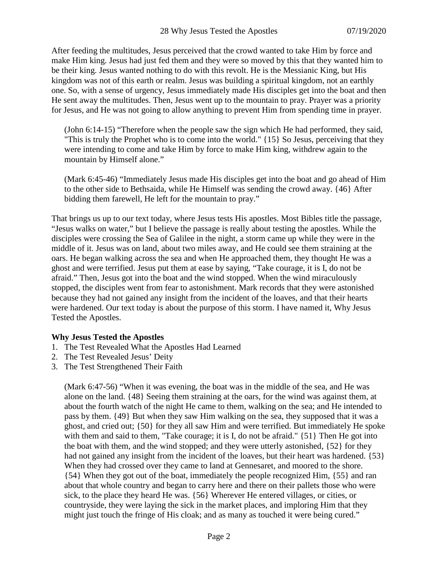After feeding the multitudes, Jesus perceived that the crowd wanted to take Him by force and make Him king. Jesus had just fed them and they were so moved by this that they wanted him to be their king. Jesus wanted nothing to do with this revolt. He is the Messianic King, but His kingdom was not of this earth or realm. Jesus was building a spiritual kingdom, not an earthly one. So, with a sense of urgency, Jesus immediately made His disciples get into the boat and then He sent away the multitudes. Then, Jesus went up to the mountain to pray. Prayer was a priority for Jesus, and He was not going to allow anything to prevent Him from spending time in prayer.

(John 6:14-15) "Therefore when the people saw the sign which He had performed, they said, "This is truly the Prophet who is to come into the world." {15} So Jesus, perceiving that they were intending to come and take Him by force to make Him king, withdrew again to the mountain by Himself alone."

(Mark 6:45-46) "Immediately Jesus made His disciples get into the boat and go ahead of Him to the other side to Bethsaida, while He Himself was sending the crowd away. {46} After bidding them farewell, He left for the mountain to pray."

That brings us up to our text today, where Jesus tests His apostles. Most Bibles title the passage, "Jesus walks on water," but I believe the passage is really about testing the apostles. While the disciples were crossing the Sea of Galilee in the night, a storm came up while they were in the middle of it. Jesus was on land, about two miles away, and He could see them straining at the oars. He began walking across the sea and when He approached them, they thought He was a ghost and were terrified. Jesus put them at ease by saying, "Take courage, it is I, do not be afraid." Then, Jesus got into the boat and the wind stopped. When the wind miraculously stopped, the disciples went from fear to astonishment. Mark records that they were astonished because they had not gained any insight from the incident of the loaves, and that their hearts were hardened. Our text today is about the purpose of this storm. I have named it, Why Jesus Tested the Apostles.

# **Why Jesus Tested the Apostles**

- 1. The Test Revealed What the Apostles Had Learned
- 2. The Test Revealed Jesus' Deity
- 3. The Test Strengthened Their Faith

(Mark 6:47-56) "When it was evening, the boat was in the middle of the sea, and He was alone on the land. {48} Seeing them straining at the oars, for the wind was against them, at about the fourth watch of the night He came to them, walking on the sea; and He intended to pass by them. {49} But when they saw Him walking on the sea, they supposed that it was a ghost, and cried out; {50} for they all saw Him and were terrified. But immediately He spoke with them and said to them, "Take courage; it is I, do not be afraid." {51} Then He got into the boat with them, and the wind stopped; and they were utterly astonished, {52} for they had not gained any insight from the incident of the loaves, but their heart was hardened. {53} When they had crossed over they came to land at Gennesaret, and moored to the shore. {54} When they got out of the boat, immediately the people recognized Him, {55} and ran about that whole country and began to carry here and there on their pallets those who were sick, to the place they heard He was. {56} Wherever He entered villages, or cities, or countryside, they were laying the sick in the market places, and imploring Him that they might just touch the fringe of His cloak; and as many as touched it were being cured."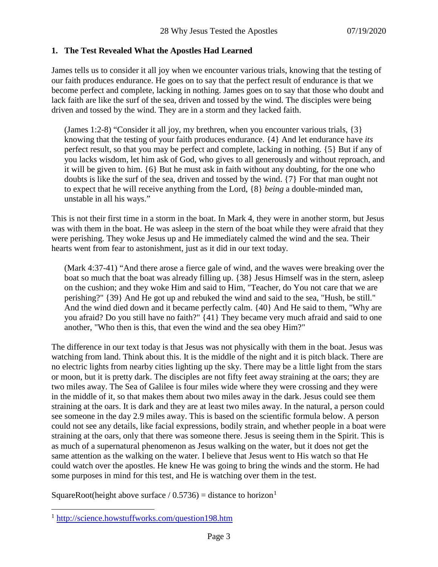### **1. The Test Revealed What the Apostles Had Learned**

James tells us to consider it all joy when we encounter various trials, knowing that the testing of our faith produces endurance. He goes on to say that the perfect result of endurance is that we become perfect and complete, lacking in nothing. James goes on to say that those who doubt and lack faith are like the surf of the sea, driven and tossed by the wind. The disciples were being driven and tossed by the wind. They are in a storm and they lacked faith.

(James 1:2-8) "Consider it all joy, my brethren, when you encounter various trials, {3} knowing that the testing of your faith produces endurance. {4} And let endurance have *its* perfect result, so that you may be perfect and complete, lacking in nothing. {5} But if any of you lacks wisdom, let him ask of God, who gives to all generously and without reproach, and it will be given to him. {6} But he must ask in faith without any doubting, for the one who doubts is like the surf of the sea, driven and tossed by the wind. {7} For that man ought not to expect that he will receive anything from the Lord, {8} *being* a double-minded man, unstable in all his ways."

This is not their first time in a storm in the boat. In Mark 4, they were in another storm, but Jesus was with them in the boat. He was asleep in the stern of the boat while they were afraid that they were perishing. They woke Jesus up and He immediately calmed the wind and the sea. Their hearts went from fear to astonishment, just as it did in our text today.

(Mark 4:37-41) "And there arose a fierce gale of wind, and the waves were breaking over the boat so much that the boat was already filling up. {38} Jesus Himself was in the stern, asleep on the cushion; and they woke Him and said to Him, "Teacher, do You not care that we are perishing?" {39} And He got up and rebuked the wind and said to the sea, "Hush, be still." And the wind died down and it became perfectly calm. {40} And He said to them, "Why are you afraid? Do you still have no faith?" {41} They became very much afraid and said to one another, "Who then is this, that even the wind and the sea obey Him?"

The difference in our text today is that Jesus was not physically with them in the boat. Jesus was watching from land. Think about this. It is the middle of the night and it is pitch black. There are no electric lights from nearby cities lighting up the sky. There may be a little light from the stars or moon, but it is pretty dark. The disciples are not fifty feet away straining at the oars; they are two miles away. The Sea of Galilee is four miles wide where they were crossing and they were in the middle of it, so that makes them about two miles away in the dark. Jesus could see them straining at the oars. It is dark and they are at least two miles away. In the natural, a person could see someone in the day 2.9 miles away. This is based on the scientific formula below. A person could not see any details, like facial expressions, bodily strain, and whether people in a boat were straining at the oars, only that there was someone there. Jesus is seeing them in the Spirit. This is as much of a supernatural phenomenon as Jesus walking on the water, but it does not get the same attention as the walking on the water. I believe that Jesus went to His watch so that He could watch over the apostles. He knew He was going to bring the winds and the storm. He had some purposes in mind for this test, and He is watching over them in the test.

SquareRoot(height above surface /  $0.5736$ ) = distance to horizon<sup>[1](#page-2-0)</sup>

<span id="page-2-0"></span> <sup>1</sup> <http://science.howstuffworks.com/question198.htm>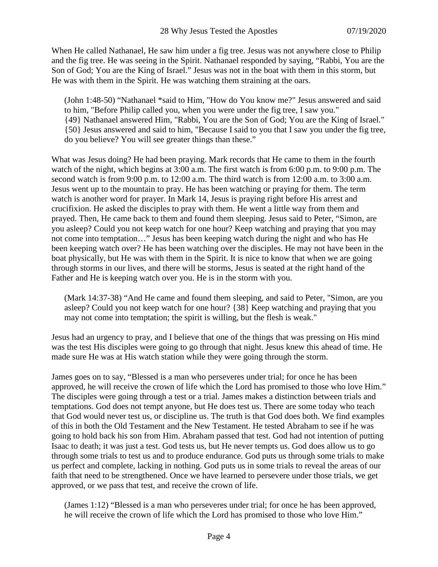When He called Nathanael, He saw him under a fig tree. Jesus was not anywhere close to Philip and the fig tree. He was seeing in the Spirit. Nathanael responded by saying, "Rabbi, You are the Son of God; You are the King of Israel." Jesus was not in the boat with them in this storm, but He was with them in the Spirit. He was watching them straining at the oars.

(John 1:48-50) "Nathanael \*said to Him, "How do You know me?" Jesus answered and said to him, "Before Philip called you, when you were under the fig tree, I saw you." {49} Nathanael answered Him, "Rabbi, You are the Son of God; You are the King of Israel." {50} Jesus answered and said to him, "Because I said to you that I saw you under the fig tree, do you believe? You will see greater things than these."

What was Jesus doing? He had been praying. Mark records that He came to them in the fourth watch of the night, which begins at 3:00 a.m. The first watch is from 6:00 p.m. to 9:00 p.m. The second watch is from 9:00 p.m. to 12:00 a.m. The third watch is from 12:00 a.m. to 3:00 a.m. Jesus went up to the mountain to pray. He has been watching or praying for them. The term watch is another word for prayer. In Mark 14, Jesus is praying right before His arrest and crucifixion. He asked the disciples to pray with them. He went a little way from them and prayed. Then, He came back to them and found them sleeping. Jesus said to Peter, "Simon, are you asleep? Could you not keep watch for one hour? Keep watching and praying that you may not come into temptation…" Jesus has been keeping watch during the night and who has He been keeping watch over? He has been watching over the disciples. He may not have been in the boat physically, but He was with them in the Spirit. It is nice to know that when we are going through storms in our lives, and there will be storms, Jesus is seated at the right hand of the Father and He is keeping watch over you. He is in the storm with you.

(Mark 14:37-38) "And He came and found them sleeping, and said to Peter, "Simon, are you asleep? Could you not keep watch for one hour? {38} Keep watching and praying that you may not come into temptation; the spirit is willing, but the flesh is weak."

Jesus had an urgency to pray, and I believe that one of the things that was pressing on His mind was the test His disciples were going to go through that night. Jesus knew this ahead of time. He made sure He was at His watch station while they were going through the storm.

James goes on to say, "Blessed is a man who perseveres under trial; for once he has been approved, he will receive the crown of life which the Lord has promised to those who love Him." The disciples were going through a test or a trial. James makes a distinction between trials and temptations. God does not tempt anyone, but He does test us. There are some today who teach that God would never test us, or discipline us. The truth is that God does both. We find examples of this in both the Old Testament and the New Testament. He tested Abraham to see if he was going to hold back his son from Him. Abraham passed that test. God had not intention of putting Isaac to death; it was just a test. God tests us, but He never tempts us. God does allow us to go through some trials to test us and to produce endurance. God puts us through some trials to make us perfect and complete, lacking in nothing. God puts us in some trials to reveal the areas of our faith that need to be strengthened. Once we have learned to persevere under those trials, we get approved, or we pass that test, and receive the crown of life.

(James 1:12) "Blessed is a man who perseveres under trial; for once he has been approved, he will receive the crown of life which the Lord has promised to those who love Him."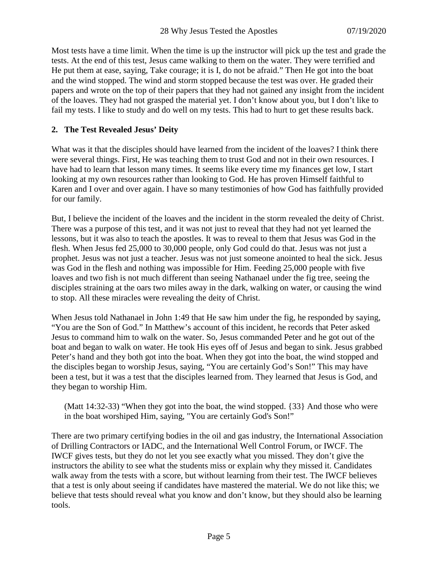Most tests have a time limit. When the time is up the instructor will pick up the test and grade the tests. At the end of this test, Jesus came walking to them on the water. They were terrified and He put them at ease, saying, Take courage; it is I, do not be afraid." Then He got into the boat and the wind stopped. The wind and storm stopped because the test was over. He graded their papers and wrote on the top of their papers that they had not gained any insight from the incident of the loaves. They had not grasped the material yet. I don't know about you, but I don't like to fail my tests. I like to study and do well on my tests. This had to hurt to get these results back.

# **2. The Test Revealed Jesus' Deity**

What was it that the disciples should have learned from the incident of the loaves? I think there were several things. First, He was teaching them to trust God and not in their own resources. I have had to learn that lesson many times. It seems like every time my finances get low, I start looking at my own resources rather than looking to God. He has proven Himself faithful to Karen and I over and over again. I have so many testimonies of how God has faithfully provided for our family.

But, I believe the incident of the loaves and the incident in the storm revealed the deity of Christ. There was a purpose of this test, and it was not just to reveal that they had not yet learned the lessons, but it was also to teach the apostles. It was to reveal to them that Jesus was God in the flesh. When Jesus fed 25,000 to 30,000 people, only God could do that. Jesus was not just a prophet. Jesus was not just a teacher. Jesus was not just someone anointed to heal the sick. Jesus was God in the flesh and nothing was impossible for Him. Feeding 25,000 people with five loaves and two fish is not much different than seeing Nathanael under the fig tree, seeing the disciples straining at the oars two miles away in the dark, walking on water, or causing the wind to stop. All these miracles were revealing the deity of Christ.

When Jesus told Nathanael in John 1:49 that He saw him under the fig, he responded by saying, "You are the Son of God." In Matthew's account of this incident, he records that Peter asked Jesus to command him to walk on the water. So, Jesus commanded Peter and he got out of the boat and began to walk on water. He took His eyes off of Jesus and began to sink. Jesus grabbed Peter's hand and they both got into the boat. When they got into the boat, the wind stopped and the disciples began to worship Jesus, saying, "You are certainly God's Son!" This may have been a test, but it was a test that the disciples learned from. They learned that Jesus is God, and they began to worship Him.

(Matt 14:32-33) "When they got into the boat, the wind stopped. {33} And those who were in the boat worshiped Him, saying, "You are certainly God's Son!"

There are two primary certifying bodies in the oil and gas industry, the International Association of Drilling Contractors or IADC, and the International Well Control Forum, or IWCF. The IWCF gives tests, but they do not let you see exactly what you missed. They don't give the instructors the ability to see what the students miss or explain why they missed it. Candidates walk away from the tests with a score, but without learning from their test. The IWCF believes that a test is only about seeing if candidates have mastered the material. We do not like this; we believe that tests should reveal what you know and don't know, but they should also be learning tools.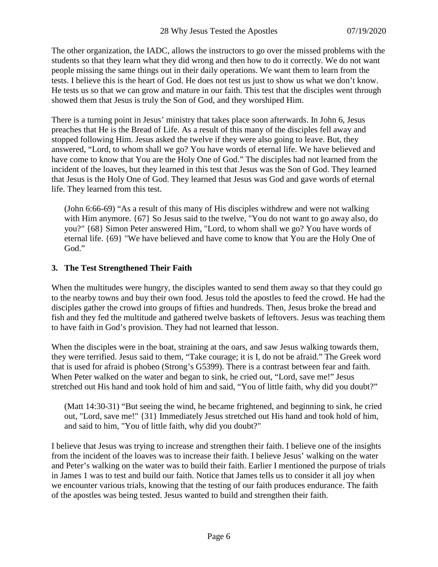The other organization, the IADC, allows the instructors to go over the missed problems with the students so that they learn what they did wrong and then how to do it correctly. We do not want people missing the same things out in their daily operations. We want them to learn from the tests. I believe this is the heart of God. He does not test us just to show us what we don't know. He tests us so that we can grow and mature in our faith. This test that the disciples went through showed them that Jesus is truly the Son of God, and they worshiped Him.

There is a turning point in Jesus' ministry that takes place soon afterwards. In John 6, Jesus preaches that He is the Bread of Life. As a result of this many of the disciples fell away and stopped following Him. Jesus asked the twelve if they were also going to leave. But, they answered, "Lord, to whom shall we go? You have words of eternal life. We have believed and have come to know that You are the Holy One of God." The disciples had not learned from the incident of the loaves, but they learned in this test that Jesus was the Son of God. They learned that Jesus is the Holy One of God. They learned that Jesus was God and gave words of eternal life. They learned from this test.

(John 6:66-69) "As a result of this many of His disciples withdrew and were not walking with Him anymore. {67} So Jesus said to the twelve, "You do not want to go away also, do you?" {68} Simon Peter answered Him, "Lord, to whom shall we go? You have words of eternal life. {69} "We have believed and have come to know that You are the Holy One of God."

# **3. The Test Strengthened Their Faith**

When the multitudes were hungry, the disciples wanted to send them away so that they could go to the nearby towns and buy their own food. Jesus told the apostles to feed the crowd. He had the disciples gather the crowd into groups of fifties and hundreds. Then, Jesus broke the bread and fish and they fed the multitude and gathered twelve baskets of leftovers. Jesus was teaching them to have faith in God's provision. They had not learned that lesson.

When the disciples were in the boat, straining at the oars, and saw Jesus walking towards them, they were terrified. Jesus said to them, "Take courage; it is I, do not be afraid." The Greek word that is used for afraid is phobeo (Strong's G5399). There is a contrast between fear and faith. When Peter walked on the water and began to sink, he cried out, "Lord, save me!" Jesus stretched out His hand and took hold of him and said, "You of little faith, why did you doubt?"

(Matt 14:30-31) "But seeing the wind, he became frightened, and beginning to sink, he cried out, "Lord, save me!" {31} Immediately Jesus stretched out His hand and took hold of him, and said to him, "You of little faith, why did you doubt?"

I believe that Jesus was trying to increase and strengthen their faith. I believe one of the insights from the incident of the loaves was to increase their faith. I believe Jesus' walking on the water and Peter's walking on the water was to build their faith. Earlier I mentioned the purpose of trials in James 1 was to test and build our faith. Notice that James tells us to consider it all joy when we encounter various trials, knowing that the testing of our faith produces endurance. The faith of the apostles was being tested. Jesus wanted to build and strengthen their faith.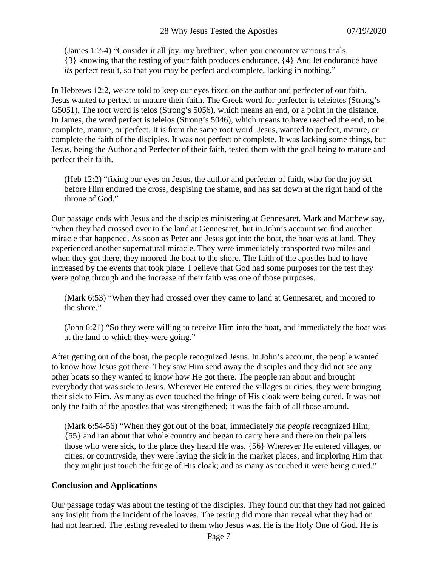(James 1:2-4) "Consider it all joy, my brethren, when you encounter various trials, {3} knowing that the testing of your faith produces endurance. {4} And let endurance have *its* perfect result, so that you may be perfect and complete, lacking in nothing."

In Hebrews 12:2, we are told to keep our eyes fixed on the author and perfecter of our faith. Jesus wanted to perfect or mature their faith. The Greek word for perfecter is teleiotes (Strong's G5051). The root word is telos (Strong's 5056), which means an end, or a point in the distance. In James, the word perfect is teleios (Strong's 5046), which means to have reached the end, to be complete, mature, or perfect. It is from the same root word. Jesus, wanted to perfect, mature, or complete the faith of the disciples. It was not perfect or complete. It was lacking some things, but Jesus, being the Author and Perfecter of their faith, tested them with the goal being to mature and perfect their faith.

(Heb 12:2) "fixing our eyes on Jesus, the author and perfecter of faith, who for the joy set before Him endured the cross, despising the shame, and has sat down at the right hand of the throne of God."

Our passage ends with Jesus and the disciples ministering at Gennesaret. Mark and Matthew say, "when they had crossed over to the land at Gennesaret, but in John's account we find another miracle that happened. As soon as Peter and Jesus got into the boat, the boat was at land. They experienced another supernatural miracle. They were immediately transported two miles and when they got there, they moored the boat to the shore. The faith of the apostles had to have increased by the events that took place. I believe that God had some purposes for the test they were going through and the increase of their faith was one of those purposes.

(Mark 6:53) "When they had crossed over they came to land at Gennesaret, and moored to the shore."

(John 6:21) "So they were willing to receive Him into the boat, and immediately the boat was at the land to which they were going."

After getting out of the boat, the people recognized Jesus. In John's account, the people wanted to know how Jesus got there. They saw Him send away the disciples and they did not see any other boats so they wanted to know how He got there. The people ran about and brought everybody that was sick to Jesus. Wherever He entered the villages or cities, they were bringing their sick to Him. As many as even touched the fringe of His cloak were being cured. It was not only the faith of the apostles that was strengthened; it was the faith of all those around.

(Mark 6:54-56) "When they got out of the boat, immediately *the people* recognized Him, {55} and ran about that whole country and began to carry here and there on their pallets those who were sick, to the place they heard He was. {56} Wherever He entered villages, or cities, or countryside, they were laying the sick in the market places, and imploring Him that they might just touch the fringe of His cloak; and as many as touched it were being cured."

# **Conclusion and Applications**

Our passage today was about the testing of the disciples. They found out that they had not gained any insight from the incident of the loaves. The testing did more than reveal what they had or had not learned. The testing revealed to them who Jesus was. He is the Holy One of God. He is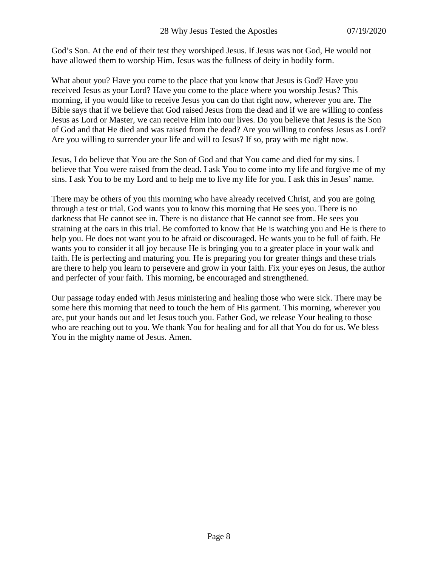God's Son. At the end of their test they worshiped Jesus. If Jesus was not God, He would not have allowed them to worship Him. Jesus was the fullness of deity in bodily form.

What about you? Have you come to the place that you know that Jesus is God? Have you received Jesus as your Lord? Have you come to the place where you worship Jesus? This morning, if you would like to receive Jesus you can do that right now, wherever you are. The Bible says that if we believe that God raised Jesus from the dead and if we are willing to confess Jesus as Lord or Master, we can receive Him into our lives. Do you believe that Jesus is the Son of God and that He died and was raised from the dead? Are you willing to confess Jesus as Lord? Are you willing to surrender your life and will to Jesus? If so, pray with me right now.

Jesus, I do believe that You are the Son of God and that You came and died for my sins. I believe that You were raised from the dead. I ask You to come into my life and forgive me of my sins. I ask You to be my Lord and to help me to live my life for you. I ask this in Jesus' name.

There may be others of you this morning who have already received Christ, and you are going through a test or trial. God wants you to know this morning that He sees you. There is no darkness that He cannot see in. There is no distance that He cannot see from. He sees you straining at the oars in this trial. Be comforted to know that He is watching you and He is there to help you. He does not want you to be afraid or discouraged. He wants you to be full of faith. He wants you to consider it all joy because He is bringing you to a greater place in your walk and faith. He is perfecting and maturing you. He is preparing you for greater things and these trials are there to help you learn to persevere and grow in your faith. Fix your eyes on Jesus, the author and perfecter of your faith. This morning, be encouraged and strengthened.

Our passage today ended with Jesus ministering and healing those who were sick. There may be some here this morning that need to touch the hem of His garment. This morning, wherever you are, put your hands out and let Jesus touch you. Father God, we release Your healing to those who are reaching out to you. We thank You for healing and for all that You do for us. We bless You in the mighty name of Jesus. Amen.